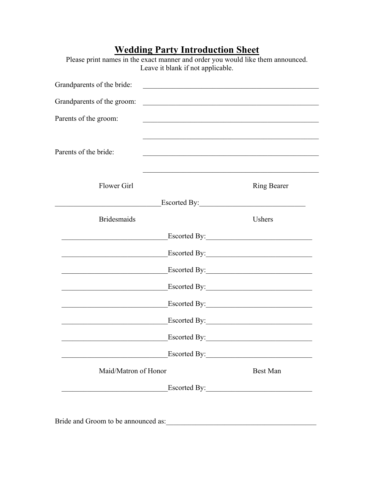| <b>Wedding Party Introduction Sheet</b><br>Please print names in the exact manner and order you would like them announced.<br>Leave it blank if not applicable.                                                                      |                                                                                                                                            |  |  |  |  |
|--------------------------------------------------------------------------------------------------------------------------------------------------------------------------------------------------------------------------------------|--------------------------------------------------------------------------------------------------------------------------------------------|--|--|--|--|
| Grandparents of the bride:                                                                                                                                                                                                           | <u> 1989 - Jan James James Barnett, martin de la propinsió de la propinsió de la propinsió de la propinsió de la</u>                       |  |  |  |  |
| Grandparents of the groom:                                                                                                                                                                                                           | <u> 2000 - Jan James James James James James James James James James James James James James James James James J</u>                       |  |  |  |  |
| Parents of the groom:                                                                                                                                                                                                                | <u> 1990 - Johann John Harry Harry Harry Harry Harry Harry Harry Harry Harry Harry Harry Harry Harry Harry Harry H</u>                     |  |  |  |  |
| Parents of the bride:                                                                                                                                                                                                                | <u> 1989 - Johann John Stoff, deutscher Stoffen und der Stoffen und der Stoffen und der Stoffen und der Stoffen u</u>                      |  |  |  |  |
| <b>Flower Girl</b>                                                                                                                                                                                                                   | <u> 1989 - Johann John Harry Harry Harry Harry Harry Harry Harry Harry Harry Harry Harry Harry Harry Harry Harry</u><br><b>Ring Bearer</b> |  |  |  |  |
| <u> 1989 - Johann Barbara, martin a</u>                                                                                                                                                                                              |                                                                                                                                            |  |  |  |  |
| <b>Bridesmaids</b>                                                                                                                                                                                                                   | Ushers                                                                                                                                     |  |  |  |  |
|                                                                                                                                                                                                                                      | Escorted By:                                                                                                                               |  |  |  |  |
| the control of the control of the control of the control of the control of                                                                                                                                                           | Escorted By: 1988                                                                                                                          |  |  |  |  |
|                                                                                                                                                                                                                                      |                                                                                                                                            |  |  |  |  |
|                                                                                                                                                                                                                                      |                                                                                                                                            |  |  |  |  |
|                                                                                                                                                                                                                                      |                                                                                                                                            |  |  |  |  |
|                                                                                                                                                                                                                                      | Escorted By:                                                                                                                               |  |  |  |  |
| <u> 1989 - Johann John Harry Harry Harry Harry Harry Harry Harry Harry Harry Harry Harry Harry Harry Harry Harry Harry Harry Harry Harry Harry Harry Harry Harry Harry Harry Harry Harry Harry Harry Harry Harry Harry Harry Har</u> |                                                                                                                                            |  |  |  |  |
|                                                                                                                                                                                                                                      |                                                                                                                                            |  |  |  |  |
| Maid/Matron of Honor                                                                                                                                                                                                                 | <b>Best Man</b>                                                                                                                            |  |  |  |  |
|                                                                                                                                                                                                                                      | Escorted By:                                                                                                                               |  |  |  |  |

 $\overline{\phantom{0}}$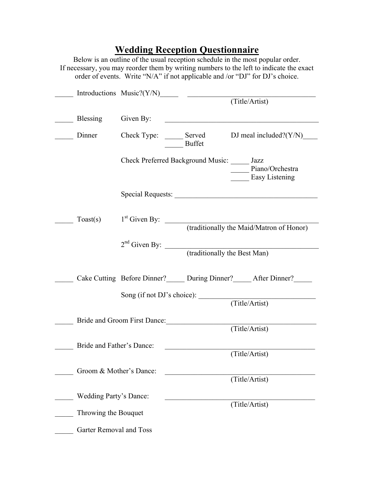## **Wedding Reception Questionnaire**

Below is an outline of the usual reception schedule in the most popular order. If necessary, you may reorder them by writing numbers to the left to indicate the exact order of events. Write "N/A" if not applicable and /or "DJ" for DJ's choice.

|                               | Introductions Music?(Y/N) $\qquad \qquad$ (Title/Artist) |               |                                                          |
|-------------------------------|----------------------------------------------------------|---------------|----------------------------------------------------------|
| Blessing                      | Given By:                                                |               |                                                          |
| Dinner                        | Check Type: Served                                       | <b>Buffet</b> | DJ meal included? $(Y/N)$                                |
|                               | Check Preferred Background Music: _____ Jazz             |               | Piano/Orchestra<br>Easy Listening                        |
|                               |                                                          |               |                                                          |
| Toast(s)                      | $1st$ Given By:                                          |               | (traditionally the Maid/Matron of Honor)                 |
|                               | $2nd$ Given By:                                          |               | (traditionally the Best Man)                             |
|                               |                                                          |               | Cake Cutting Before Dinner? During Dinner? After Dinner? |
|                               | Song (if not DJ's choice):                               |               | (Title/Artist)                                           |
|                               | Bride and Groom First Dance:                             |               | (Title/Artist)                                           |
| Bride and Father's Dance:     |                                                          |               | (Title/Artist)                                           |
| Groom & Mother's Dance:       |                                                          |               | (Title/Artist)                                           |
| <b>Wedding Party's Dance:</b> |                                                          |               |                                                          |
| Throwing the Bouquet          |                                                          |               | (Title/Artist)                                           |
| Garter Removal and Toss       |                                                          |               |                                                          |